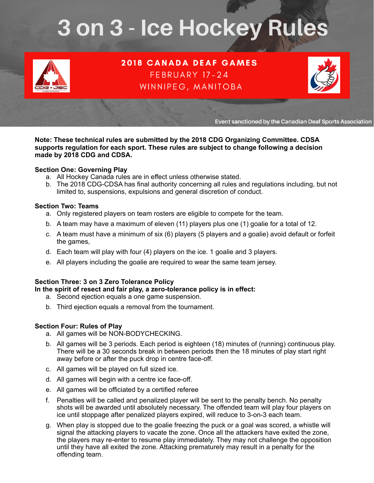# 3 on 3 - Ice Hockey Rules



**2018 CANADA DEAF GAMES** FEBRUARY 17-24 WINNIPEG, MANITOBA



Event sanctioned by the Canadian Deaf Sports Association

**Note: These technical rules are submitted by the 2018 CDG Organizing Committee. CDSA supports regulation for each sport. These rules are subject to change following a decision made by 2018 CDG and CDSA.** 

### **Section One: Governing Play**

- a. All Hockey Canada rules are in effect unless otherwise stated.
- b. The 2018 CDG-CDSA has final authority concerning all rules and regulations including, but not limited to, suspensions, expulsions and general discretion of conduct.

## **Section Two: Teams**

- a. Only registered players on team rosters are eligible to compete for the team.
- b. A team may have a maximum of eleven (11) players plus one (1) goalie for a total of 12.
- c. A team must have a minimum of six (6) players (5 players and a goalie) avoid default or forfeit the games,
- d. Each team will play with four (4) players on the ice. 1 goalie and 3 players.
- e. All players including the goalie are required to wear the same team jersey.

# **Section Three: 3 on 3 Zero Tolerance Policy**

# **In the spirit of resect and fair play, a zero-tolerance policy is in effect:**

- a. Second ejection equals a one game suspension.
- b. Third ejection equals a removal from the tournament.

# **Section Four: Rules of Play**

- a. All games will be NON-BODYCHECKING.
- b. All games will be 3 periods. Each period is eighteen (18) minutes of (running) continuous play. There will be a 30 seconds break in between periods then the 18 minutes of play start right away before or after the puck drop in centre face-off.
- c. All games will be played on full sized ice.
- d. All games will begin with a centre ice face-off.
- e. All games will be officiated by a certified referee
- f. Penalties will be called and penalized player will be sent to the penalty bench. No penalty shots will be awarded until absolutely necessary. The offended team will play four players on ice until stoppage after penalized players expired, will reduce to 3-on-3 each team.
- g. When play is stopped due to the goalie freezing the puck or a goal was scored, a whistle will signal the attacking players to vacate the zone. Once all the attackers have exited the zone, the players may re-enter to resume play immediately. They may not challenge the opposition until they have all exited the zone. Attacking prematurely may result in a penalty for the offending team.